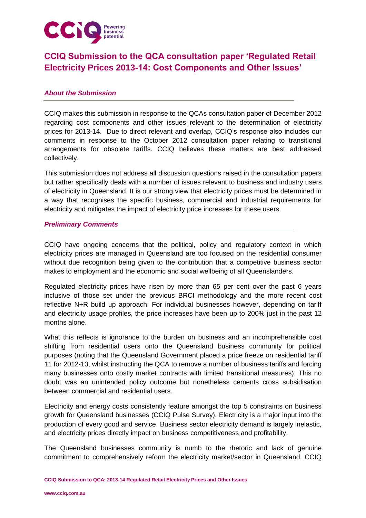

# **CCIQ Submission to the QCA consultation paper 'Regulated Retail Electricity Prices 2013-14: Cost Components and Other Issues'**

## *About the Submission*

CCIQ makes this submission in response to the QCAs consultation paper of December 2012 regarding cost components and other issues relevant to the determination of electricity prices for 2013-14. Due to direct relevant and overlap, CCIQ"s response also includes our comments in response to the October 2012 consultation paper relating to transitional arrangements for obsolete tariffs. CCIQ believes these matters are best addressed collectively.

This submission does not address all discussion questions raised in the consultation papers but rather specifically deals with a number of issues relevant to business and industry users of electricity in Queensland. It is our strong view that electricity prices must be determined in a way that recognises the specific business, commercial and industrial requirements for electricity and mitigates the impact of electricity price increases for these users.

## *Preliminary Comments*

CCIQ have ongoing concerns that the political, policy and regulatory context in which electricity prices are managed in Queensland are too focused on the residential consumer without due recognition being given to the contribution that a competitive business sector makes to employment and the economic and social wellbeing of all Queenslanders.

Regulated electricity prices have risen by more than 65 per cent over the past 6 years inclusive of those set under the previous BRCI methodology and the more recent cost reflective N+R build up approach. For individual businesses however, depending on tariff and electricity usage profiles, the price increases have been up to 200% just in the past 12 months alone.

What this reflects is ignorance to the burden on business and an incomprehensible cost shifting from residential users onto the Queensland business community for political purposes (noting that the Queensland Government placed a price freeze on residential tariff 11 for 2012-13, whilst instructing the QCA to remove a number of business tariffs and forcing many businesses onto costly market contracts with limited transitional measures). This no doubt was an unintended policy outcome but nonetheless cements cross subsidisation between commercial and residential users.

Electricity and energy costs consistently feature amongst the top 5 constraints on business growth for Queensland businesses (CCIQ Pulse Survey). Electricity is a major input into the production of every good and service. Business sector electricity demand is largely inelastic, and electricity prices directly impact on business competitiveness and profitability.

The Queensland businesses community is numb to the rhetoric and lack of genuine commitment to comprehensively reform the electricity market/sector in Queensland. CCIQ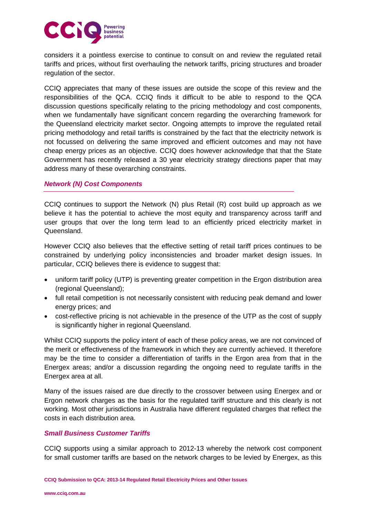

considers it a pointless exercise to continue to consult on and review the regulated retail tariffs and prices, without first overhauling the network tariffs, pricing structures and broader regulation of the sector.

CCIQ appreciates that many of these issues are outside the scope of this review and the responsibilities of the QCA. CCIQ finds it difficult to be able to respond to the QCA discussion questions specifically relating to the pricing methodology and cost components, when we fundamentally have significant concern regarding the overarching framework for the Queensland electricity market sector. Ongoing attempts to improve the regulated retail pricing methodology and retail tariffs is constrained by the fact that the electricity network is not focussed on delivering the same improved and efficient outcomes and may not have cheap energy prices as an objective. CCIQ does however acknowledge that that the State Government has recently released a 30 year electricity strategy directions paper that may address many of these overarching constraints.

## *Network (N) Cost Components*

CCIQ continues to support the Network (N) plus Retail (R) cost build up approach as we believe it has the potential to achieve the most equity and transparency across tariff and user groups that over the long term lead to an efficiently priced electricity market in Queensland.

However CCIQ also believes that the effective setting of retail tariff prices continues to be constrained by underlying policy inconsistencies and broader market design issues. In particular, CCIQ believes there is evidence to suggest that:

- uniform tariff policy (UTP) is preventing greater competition in the Ergon distribution area (regional Queensland);
- full retail competition is not necessarily consistent with reducing peak demand and lower energy prices; and
- cost-reflective pricing is not achievable in the presence of the UTP as the cost of supply is significantly higher in regional Queensland.

Whilst CCIQ supports the policy intent of each of these policy areas, we are not convinced of the merit or effectiveness of the framework in which they are currently achieved. It therefore may be the time to consider a differentiation of tariffs in the Ergon area from that in the Energex areas; and/or a discussion regarding the ongoing need to regulate tariffs in the Energex area at all.

Many of the issues raised are due directly to the crossover between using Energex and or Ergon network charges as the basis for the regulated tariff structure and this clearly is not working. Most other jurisdictions in Australia have different regulated charges that reflect the costs in each distribution area.

#### *Small Business Customer Tariffs*

CCIQ supports using a similar approach to 2012-13 whereby the network cost component for small customer tariffs are based on the network charges to be levied by Energex, as this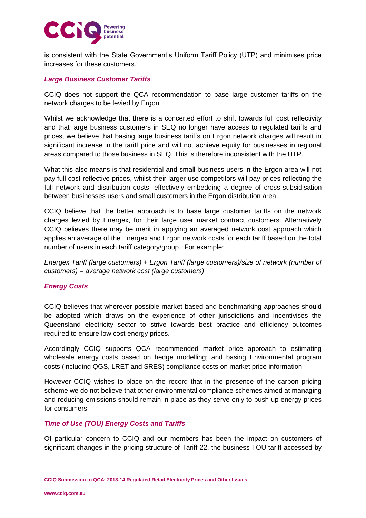

is consistent with the State Government's Uniform Tariff Policy (UTP) and minimises price increases for these customers.

## *Large Business Customer Tariffs*

CCIQ does not support the QCA recommendation to base large customer tariffs on the network charges to be levied by Ergon.

Whilst we acknowledge that there is a concerted effort to shift towards full cost reflectivity and that large business customers in SEQ no longer have access to regulated tariffs and prices, we believe that basing large business tariffs on Ergon network charges will result in significant increase in the tariff price and will not achieve equity for businesses in regional areas compared to those business in SEQ. This is therefore inconsistent with the UTP.

What this also means is that residential and small business users in the Ergon area will not pay full cost-reflective prices, whilst their larger use competitors will pay prices reflecting the full network and distribution costs, effectively embedding a degree of cross-subsidisation between businesses users and small customers in the Ergon distribution area.

CCIQ believe that the better approach is to base large customer tariffs on the network charges levied by Energex, for their large user market contract customers. Alternatively CCIQ believes there may be merit in applying an averaged network cost approach which applies an average of the Energex and Ergon network costs for each tariff based on the total number of users in each tariff category/group. For example:

*Energex Tariff (large customers) + Ergon Tariff (large customers)/size of network (number of customers) = average network cost (large customers)*

# *Energy Costs*

CCIQ believes that wherever possible market based and benchmarking approaches should be adopted which draws on the experience of other jurisdictions and incentivises the Queensland electricity sector to strive towards best practice and efficiency outcomes required to ensure low cost energy prices.

Accordingly CCIQ supports QCA recommended market price approach to estimating wholesale energy costs based on hedge modelling; and basing Environmental program costs (including QGS, LRET and SRES) compliance costs on market price information.

However CCIQ wishes to place on the record that in the presence of the carbon pricing scheme we do not believe that other environmental compliance schemes aimed at managing and reducing emissions should remain in place as they serve only to push up energy prices for consumers.

#### *Time of Use (TOU) Energy Costs and Tariffs*

Of particular concern to CCIQ and our members has been the impact on customers of significant changes in the pricing structure of Tariff 22, the business TOU tariff accessed by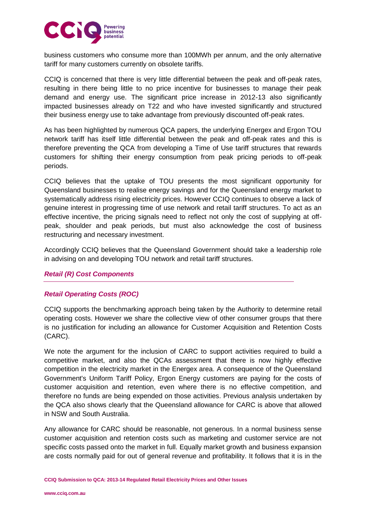

business customers who consume more than 100MWh per annum, and the only alternative tariff for many customers currently on obsolete tariffs.

CCIQ is concerned that there is very little differential between the peak and off-peak rates, resulting in there being little to no price incentive for businesses to manage their peak demand and energy use. The significant price increase in 2012-13 also significantly impacted businesses already on T22 and who have invested significantly and structured their business energy use to take advantage from previously discounted off-peak rates.

As has been highlighted by numerous QCA papers, the underlying Energex and Ergon TOU network tariff has itself little differential between the peak and off-peak rates and this is therefore preventing the QCA from developing a Time of Use tariff structures that rewards customers for shifting their energy consumption from peak pricing periods to off-peak periods.

CCIQ believes that the uptake of TOU presents the most significant opportunity for Queensland businesses to realise energy savings and for the Queensland energy market to systematically address rising electricity prices. However CCIQ continues to observe a lack of genuine interest in progressing time of use network and retail tariff structures. To act as an effective incentive, the pricing signals need to reflect not only the cost of supplying at offpeak, shoulder and peak periods, but must also acknowledge the cost of business restructuring and necessary investment.

Accordingly CCIQ believes that the Queensland Government should take a leadership role in advising on and developing TOU network and retail tariff structures.

# *Retail (R) Cost Components*

#### *Retail Operating Costs (ROC)*

CCIQ supports the benchmarking approach being taken by the Authority to determine retail operating costs. However we share the collective view of other consumer groups that there is no justification for including an allowance for Customer Acquisition and Retention Costs (CARC).

We note the argument for the inclusion of CARC to support activities required to build a competitive market, and also the QCAs assessment that there is now highly effective competition in the electricity market in the Energex area. A consequence of the Queensland Government's Uniform Tariff Policy, Ergon Energy customers are paying for the costs of customer acquisition and retention, even where there is no effective competition, and therefore no funds are being expended on those activities. Previous analysis undertaken by the QCA also shows clearly that the Queensland allowance for CARC is above that allowed in NSW and South Australia.

Any allowance for CARC should be reasonable, not generous. In a normal business sense customer acquisition and retention costs such as marketing and customer service are not specific costs passed onto the market in full. Equally market growth and business expansion are costs normally paid for out of general revenue and profitability. It follows that it is in the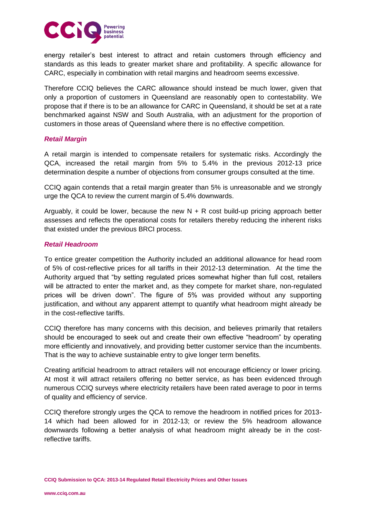

energy retailer"s best interest to attract and retain customers through efficiency and standards as this leads to greater market share and profitability. A specific allowance for CARC, especially in combination with retail margins and headroom seems excessive.

Therefore CCIQ believes the CARC allowance should instead be much lower, given that only a proportion of customers in Queensland are reasonably open to contestability. We propose that if there is to be an allowance for CARC in Queensland, it should be set at a rate benchmarked against NSW and South Australia, with an adjustment for the proportion of customers in those areas of Queensland where there is no effective competition.

#### *Retail Margin*

A retail margin is intended to compensate retailers for systematic risks. Accordingly the QCA, increased the retail margin from 5% to 5.4% in the previous 2012-13 price determination despite a number of objections from consumer groups consulted at the time.

CCIQ again contends that a retail margin greater than 5% is unreasonable and we strongly urge the QCA to review the current margin of 5.4% downwards.

Arguably, it could be lower, because the new  $N + R$  cost build-up pricing approach better assesses and reflects the operational costs for retailers thereby reducing the inherent risks that existed under the previous BRCI process.

## *Retail Headroom*

To entice greater competition the Authority included an additional allowance for head room of 5% of cost-reflective prices for all tariffs in their 2012-13 determination. At the time the Authority argued that "by setting regulated prices somewhat higher than full cost, retailers will be attracted to enter the market and, as they compete for market share, non-regulated prices will be driven down". The figure of 5% was provided without any supporting justification, and without any apparent attempt to quantify what headroom might already be in the cost-reflective tariffs.

CCIQ therefore has many concerns with this decision, and believes primarily that retailers should be encouraged to seek out and create their own effective "headroom" by operating more efficiently and innovatively, and providing better customer service than the incumbents. That is the way to achieve sustainable entry to give longer term benefits.

Creating artificial headroom to attract retailers will not encourage efficiency or lower pricing. At most it will attract retailers offering no better service, as has been evidenced through numerous CCIQ surveys where electricity retailers have been rated average to poor in terms of quality and efficiency of service.

CCIQ therefore strongly urges the QCA to remove the headroom in notified prices for 2013- 14 which had been allowed for in 2012-13; or review the 5% headroom allowance downwards following a better analysis of what headroom might already be in the costreflective tariffs.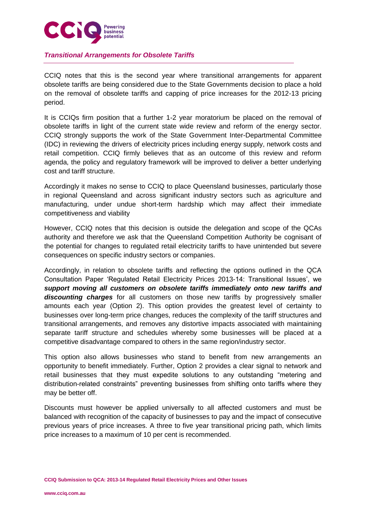

# *Transitional Arrangements for Obsolete Tariffs*

CCIQ notes that this is the second year where transitional arrangements for apparent obsolete tariffs are being considered due to the State Governments decision to place a hold on the removal of obsolete tariffs and capping of price increases for the 2012-13 pricing period.

It is CCIQs firm position that a further 1-2 year moratorium be placed on the removal of obsolete tariffs in light of the current state wide review and reform of the energy sector. CCIQ strongly supports the work of the State Government Inter-Departmental Committee (IDC) in reviewing the drivers of electricity prices including energy supply, network costs and retail competition. CCIQ firmly believes that as an outcome of this review and reform agenda, the policy and regulatory framework will be improved to deliver a better underlying cost and tariff structure.

Accordingly it makes no sense to CCIQ to place Queensland businesses, particularly those in regional Queensland and across significant industry sectors such as agriculture and manufacturing, under undue short-term hardship which may affect their immediate competitiveness and viability

However, CCIQ notes that this decision is outside the delegation and scope of the QCAs authority and therefore we ask that the Queensland Competition Authority be cognisant of the potential for changes to regulated retail electricity tariffs to have unintended but severe consequences on specific industry sectors or companies.

Accordingly, in relation to obsolete tariffs and reflecting the options outlined in the QCA Consultation Paper "Regulated Retail Electricity Prices 2013-14: Transitional Issues", we *support moving all customers on obsolete tariffs immediately onto new tariffs and discounting charges* for all customers on those new tariffs by progressively smaller amounts each year (Option 2). This option provides the greatest level of certainty to businesses over long-term price changes, reduces the complexity of the tariff structures and transitional arrangements, and removes any distortive impacts associated with maintaining separate tariff structure and schedules whereby some businesses will be placed at a competitive disadvantage compared to others in the same region/industry sector.

This option also allows businesses who stand to benefit from new arrangements an opportunity to benefit immediately. Further, Option 2 provides a clear signal to network and retail businesses that they must expedite solutions to any outstanding "metering and distribution-related constraints" preventing businesses from shifting onto tariffs where they may be better off.

Discounts must however be applied universally to all affected customers and must be balanced with recognition of the capacity of businesses to pay and the impact of consecutive previous years of price increases. A three to five year transitional pricing path, which limits price increases to a maximum of 10 per cent is recommended.